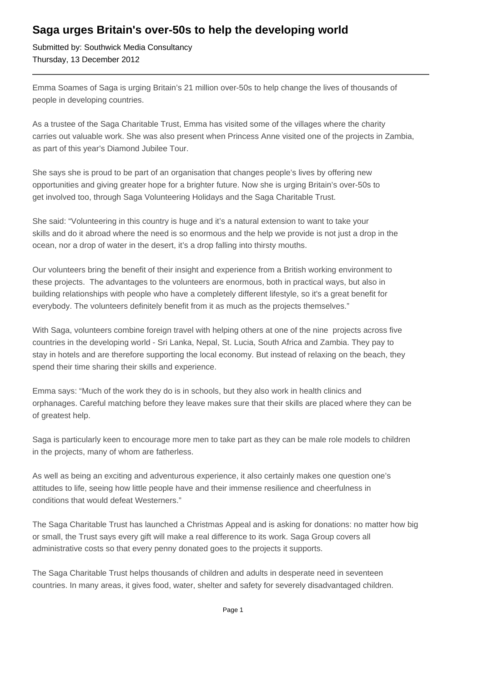## **Saga urges Britain's over-50s to help the developing world**

Submitted by: Southwick Media Consultancy Thursday, 13 December 2012

Emma Soames of Saga is urging Britain's 21 million over-50s to help change the lives of thousands of people in developing countries.

As a trustee of the Saga Charitable Trust, Emma has visited some of the villages where the charity carries out valuable work. She was also present when Princess Anne visited one of the projects in Zambia, as part of this year's Diamond Jubilee Tour.

She says she is proud to be part of an organisation that changes people's lives by offering new opportunities and giving greater hope for a brighter future. Now she is urging Britain's over-50s to get involved too, through Saga Volunteering Holidays and the Saga Charitable Trust.

She said: "Volunteering in this country is huge and it's a natural extension to want to take your skills and do it abroad where the need is so enormous and the help we provide is not just a drop in the ocean, nor a drop of water in the desert, it's a drop falling into thirsty mouths.

Our volunteers bring the benefit of their insight and experience from a British working environment to these projects. The advantages to the volunteers are enormous, both in practical ways, but also in building relationships with people who have a completely different lifestyle, so it's a great benefit for everybody. The volunteers definitely benefit from it as much as the projects themselves."

With Saga, volunteers combine foreign travel with helping others at one of the nine projects across five countries in the developing world - Sri Lanka, Nepal, St. Lucia, South Africa and Zambia. They pay to stay in hotels and are therefore supporting the local economy. But instead of relaxing on the beach, they spend their time sharing their skills and experience.

Emma says: "Much of the work they do is in schools, but they also work in health clinics and orphanages. Careful matching before they leave makes sure that their skills are placed where they can be of greatest help.

Saga is particularly keen to encourage more men to take part as they can be male role models to children in the projects, many of whom are fatherless.

As well as being an exciting and adventurous experience, it also certainly makes one question one's attitudes to life, seeing how little people have and their immense resilience and cheerfulness in conditions that would defeat Westerners."

The Saga Charitable Trust has launched a Christmas Appeal and is asking for donations: no matter how big or small, the Trust says every gift will make a real difference to its work. Saga Group covers all administrative costs so that every penny donated goes to the projects it supports.

The Saga Charitable Trust helps thousands of children and adults in desperate need in seventeen countries. In many areas, it gives food, water, shelter and safety for severely disadvantaged children.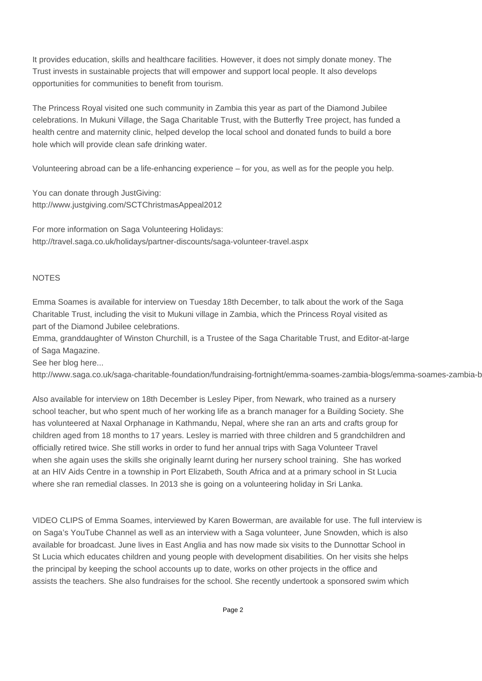It provides education, skills and healthcare facilities. However, it does not simply donate money. The Trust invests in sustainable projects that will empower and support local people. It also develops opportunities for communities to benefit from tourism.

The Princess Royal visited one such community in Zambia this year as part of the Diamond Jubilee celebrations. In Mukuni Village, the Saga Charitable Trust, with the Butterfly Tree project, has funded a health centre and maternity clinic, helped develop the local school and donated funds to build a bore hole which will provide clean safe drinking water.

Volunteering abroad can be a life-enhancing experience – for you, as well as for the people you help.

You can donate through JustGiving: http://www.justgiving.com/SCTChristmasAppeal2012

For more information on Saga Volunteering Holidays: http://travel.saga.co.uk/holidays/partner-discounts/saga-volunteer-travel.aspx

## **NOTES**

Emma Soames is available for interview on Tuesday 18th December, to talk about the work of the Saga Charitable Trust, including the visit to Mukuni village in Zambia, which the Princess Royal visited as part of the Diamond Jubilee celebrations.

Emma, granddaughter of Winston Churchill, is a Trustee of the Saga Charitable Trust, and Editor-at-large of Saga Magazine.

See her blog here...

http://www.saga.co.uk/saga-charitable-foundation/fundraising-fortnight/emma-soames-zambia-blogs/emma-soames-zambia-b

Also available for interview on 18th December is Lesley Piper, from Newark, who trained as a nursery school teacher, but who spent much of her working life as a branch manager for a Building Society. She has volunteered at Naxal Orphanage in Kathmandu, Nepal, where she ran an arts and crafts group for children aged from 18 months to 17 years. Lesley is married with three children and 5 grandchildren and officially retired twice. She still works in order to fund her annual trips with Saga Volunteer Travel when she again uses the skills she originally learnt during her nursery school training. She has worked at an HIV Aids Centre in a township in Port Elizabeth, South Africa and at a primary school in St Lucia where she ran remedial classes. In 2013 she is going on a volunteering holiday in Sri Lanka.

VIDEO CLIPS of Emma Soames, interviewed by Karen Bowerman, are available for use. The full interview is on Saga's YouTube Channel as well as an interview with a Saga volunteer, June Snowden, which is also available for broadcast. June lives in East Anglia and has now made six visits to the Dunnottar School in St Lucia which educates children and young people with development disabilities. On her visits she helps the principal by keeping the school accounts up to date, works on other projects in the office and assists the teachers. She also fundraises for the school. She recently undertook a sponsored swim which